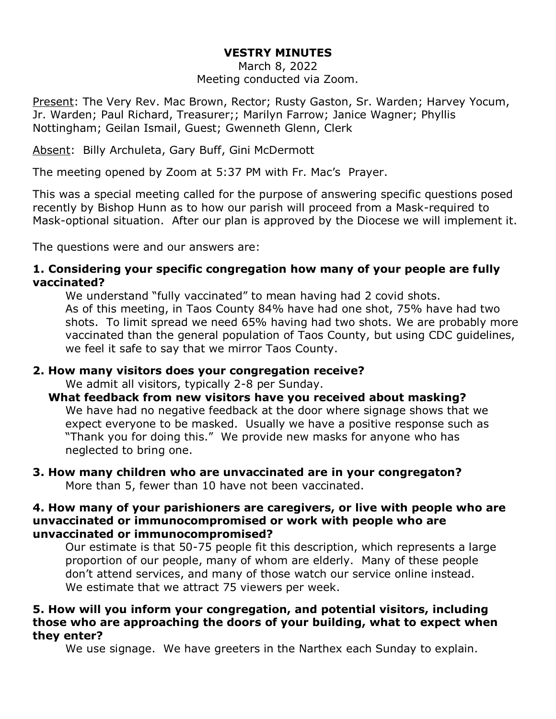### **VESTRY MINUTES**

### March 8, 2022 Meeting conducted via Zoom.

Present: The Very Rev. Mac Brown, Rector; Rusty Gaston, Sr. Warden; Harvey Yocum, Jr. Warden; Paul Richard, Treasurer;; Marilyn Farrow; Janice Wagner; Phyllis Nottingham; Geilan Ismail, Guest; Gwenneth Glenn, Clerk

Absent: Billy Archuleta, Gary Buff, Gini McDermott

The meeting opened by Zoom at 5:37 PM with Fr. Mac's Prayer.

This was a special meeting called for the purpose of answering specific questions posed recently by Bishop Hunn as to how our parish will proceed from a Mask-required to Mask-optional situation. After our plan is approved by the Diocese we will implement it.

The questions were and our answers are:

# **1. Considering your specific congregation how many of your people are fully vaccinated?**

We understand "fully vaccinated" to mean having had 2 covid shots. As of this meeting, in Taos County 84% have had one shot, 75% have had two shots. To limit spread we need 65% having had two shots. We are probably more vaccinated than the general population of Taos County, but using CDC guidelines, we feel it safe to say that we mirror Taos County.

# **2. How many visitors does your congregation receive?**

We admit all visitors, typically 2-8 per Sunday.

 **What feedback from new visitors have you received about masking?** We have had no negative feedback at the door where signage shows that we expect everyone to be masked. Usually we have a positive response such as "Thank you for doing this." We provide new masks for anyone who has neglected to bring one.

## **3. How many children who are unvaccinated are in your congregaton?** More than 5, fewer than 10 have not been vaccinated.

## **4. How many of your parishioners are caregivers, or live with people who are unvaccinated or immunocompromised or work with people who are unvaccinated or immunocompromised?**

Our estimate is that 50-75 people fit this description, which represents a large proportion of our people, many of whom are elderly. Many of these people don't attend services, and many of those watch our service online instead. We estimate that we attract 75 viewers per week.

## **5. How will you inform your congregation, and potential visitors, including those who are approaching the doors of your building, what to expect when they enter?**

We use signage. We have greeters in the Narthex each Sunday to explain.